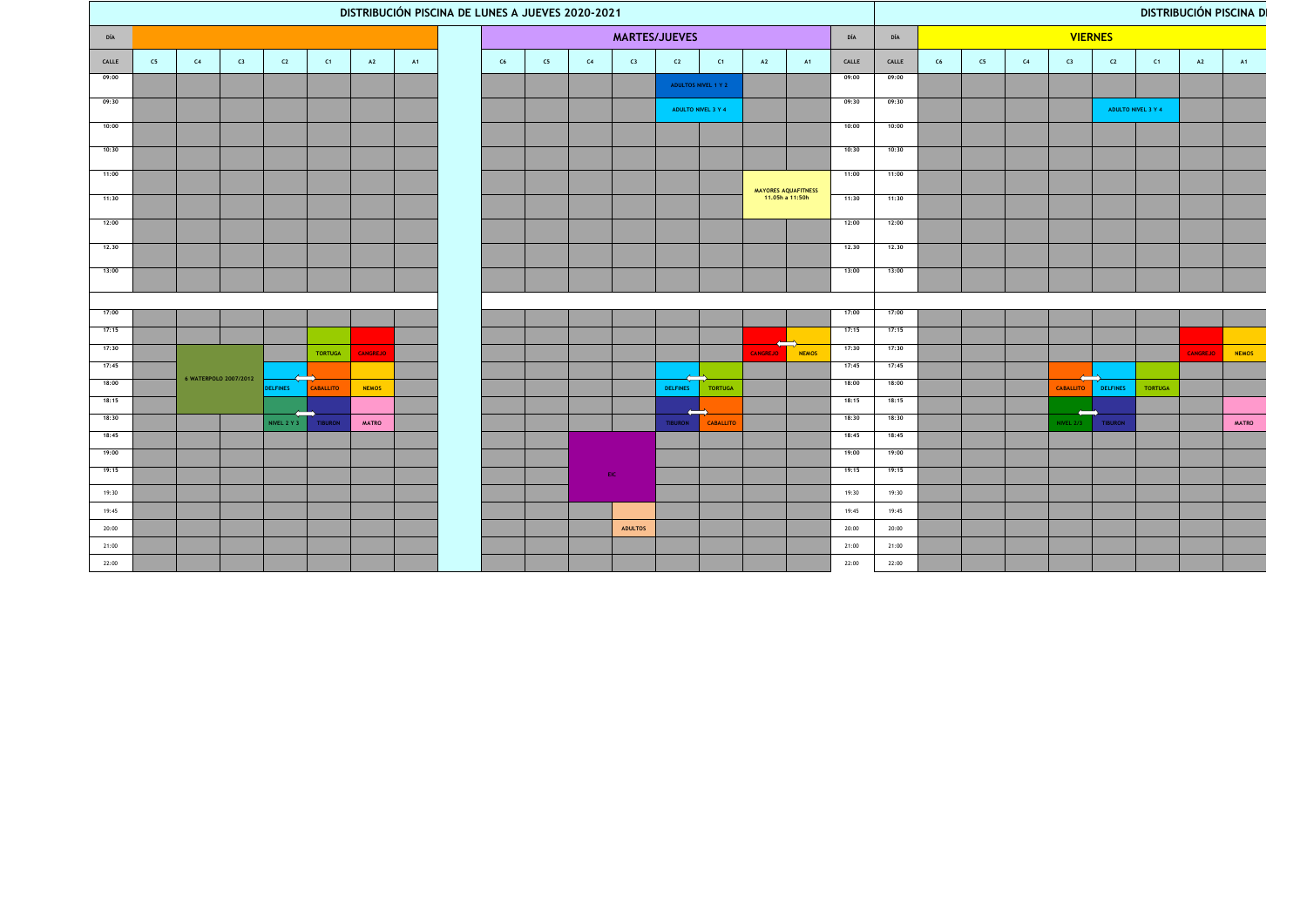|                | DISTRIBUCIÓN PISCINA DE LUNES A JUEVES 2020-2021 |    |                       |                 |                |                 |    |  |               |    |     |                |                     | <b>DISTRIBUCIÓN PISCINA DI</b> |                 |                                        |                |                |    |    |    |                              |                 |                    |                 |              |
|----------------|--------------------------------------------------|----|-----------------------|-----------------|----------------|-----------------|----|--|---------------|----|-----|----------------|---------------------|--------------------------------|-----------------|----------------------------------------|----------------|----------------|----|----|----|------------------------------|-----------------|--------------------|-----------------|--------------|
| DÍA            |                                                  |    |                       |                 |                |                 |    |  | MARTES/JUEVES |    |     |                |                     |                                |                 | DÍA                                    | DÍA            | <b>VIERNES</b> |    |    |    |                              |                 |                    |                 |              |
| CALLE          | C5                                               | C4 | C3                    | C2              | C1             | A2              | A1 |  | C6            | C5 | C4  | C3             | C2                  | C1                             | A2              | <b>A1</b>                              | CALLE          | CALLE          | C6 | C5 | C4 | C3                           | C2              | C1                 | A2              | <b>A1</b>    |
| 09:00          |                                                  |    |                       |                 |                |                 |    |  |               |    |     |                | ADULTOS NIVEL 1 Y 2 |                                |                 |                                        | 09:00          | 09:00          |    |    |    |                              |                 |                    |                 |              |
| 09:30          |                                                  |    |                       |                 |                |                 |    |  |               |    |     |                | ADULTO NIVEL 3 Y 4  |                                |                 |                                        | 09:30          | 09:30          |    |    |    |                              |                 | ADULTO NIVEL 3 Y 4 |                 |              |
| 10:00          |                                                  |    |                       |                 |                |                 |    |  |               |    |     |                |                     |                                |                 |                                        | 10:00          | 10:00          |    |    |    |                              |                 |                    |                 |              |
| 10:30          |                                                  |    |                       |                 |                |                 |    |  |               |    |     |                |                     |                                |                 |                                        | 10:30          | 10:30          |    |    |    |                              |                 |                    |                 |              |
| 11:00          |                                                  |    |                       |                 |                |                 |    |  |               |    |     |                |                     |                                |                 |                                        | 11:00          | 11:00          |    |    |    |                              |                 |                    |                 |              |
| 11:30          |                                                  |    |                       |                 |                |                 |    |  |               |    |     |                |                     |                                |                 | MAYORES AQUAFITNESS<br>11.05h a 11:50h | 11:30          | 11:30          |    |    |    |                              |                 |                    |                 |              |
| 12:00          |                                                  |    |                       |                 |                |                 |    |  |               |    |     |                |                     |                                |                 |                                        | 12:00          | 12:00          |    |    |    |                              |                 |                    |                 |              |
| 12.30          |                                                  |    |                       |                 |                |                 |    |  |               |    |     |                |                     |                                |                 |                                        | 12.30          | 12.30          |    |    |    |                              |                 |                    |                 |              |
| 13:00          |                                                  |    |                       |                 |                |                 |    |  |               |    |     |                |                     |                                |                 |                                        | 13:00          | 13:00          |    |    |    |                              |                 |                    |                 |              |
|                |                                                  |    |                       |                 |                |                 |    |  |               |    |     |                |                     |                                |                 |                                        |                |                |    |    |    |                              |                 |                    |                 |              |
| 17:00          |                                                  |    |                       |                 |                |                 |    |  |               |    |     |                |                     |                                |                 |                                        | 17:00          | 17:00          |    |    |    |                              |                 |                    |                 |              |
| 17:15          |                                                  |    |                       |                 |                |                 |    |  |               |    |     |                |                     |                                |                 | $\implies$                             | 17:15          | 17:15          |    |    |    |                              |                 |                    |                 |              |
| 17:30<br>17:45 |                                                  |    |                       |                 | <b>TORTUGA</b> | <b>CANGREJO</b> |    |  |               |    |     |                |                     |                                | <b>CANGREJO</b> | <b>NEMOS</b>                           | 17:30<br>17:45 | 17:30<br>17:45 |    |    |    |                              |                 |                    | <b>CANGREJO</b> | <b>NEMOS</b> |
| 18:00          |                                                  |    | 6 WATERPOLO 2007/2012 | <b>DELFINES</b> | CABALLITO      | <b>NEMOS</b>    |    |  |               |    |     |                | <b>DELFINES</b>     | <b>TORTUGA</b>                 |                 |                                        | 18:00          | 18:00          |    |    |    | $\equiv$<br><b>CABALLITO</b> | <b>DELFINES</b> | TORTUGA            |                 |              |
| 18:15          |                                                  |    |                       |                 |                |                 |    |  |               |    |     |                | $\leftarrow$        |                                |                 |                                        | 18:15          | 18:15          |    |    |    | $\Longleftrightarrow$        |                 |                    |                 |              |
| 18:30          |                                                  |    |                       | NIVEL 2 Y 3     | <b>TIBURON</b> | <b>MATRO</b>    |    |  |               |    |     |                | <b>TIBURON</b>      | <b>CABALLITO</b>               |                 |                                        | 18:30          | 18:30          |    |    |    | <b>NIVEL 2/3</b>             | <b>TIBURON</b>  |                    |                 | <b>MATRO</b> |
| 18:45<br>19:00 |                                                  |    |                       |                 |                |                 |    |  |               |    |     |                |                     |                                |                 |                                        | 18:45<br>19:00 | 18:45<br>19:00 |    |    |    |                              |                 |                    |                 |              |
| 19:15          |                                                  |    |                       |                 |                |                 |    |  |               |    | EIC |                |                     |                                |                 |                                        | 19:15          | 19:15          |    |    |    |                              |                 |                    |                 |              |
| 19:30          |                                                  |    |                       |                 |                |                 |    |  |               |    |     |                |                     |                                |                 |                                        | 19:30          | 19:30          |    |    |    |                              |                 |                    |                 |              |
| 19:45          |                                                  |    |                       |                 |                |                 |    |  |               |    |     |                |                     |                                |                 |                                        | 19:45          | 19:45          |    |    |    |                              |                 |                    |                 |              |
| 20:00          |                                                  |    |                       |                 |                |                 |    |  |               |    |     | <b>ADULTOS</b> |                     |                                |                 |                                        | 20:00          | 20:00          |    |    |    |                              |                 |                    |                 |              |
| 21:00<br>22:00 |                                                  |    |                       |                 |                |                 |    |  |               |    |     |                |                     |                                |                 |                                        | 21:00<br>22:00 | 21:00<br>22:00 |    |    |    |                              |                 |                    |                 |              |
|                |                                                  |    |                       |                 |                |                 |    |  |               |    |     |                |                     |                                |                 |                                        |                |                |    |    |    |                              |                 |                    |                 |              |